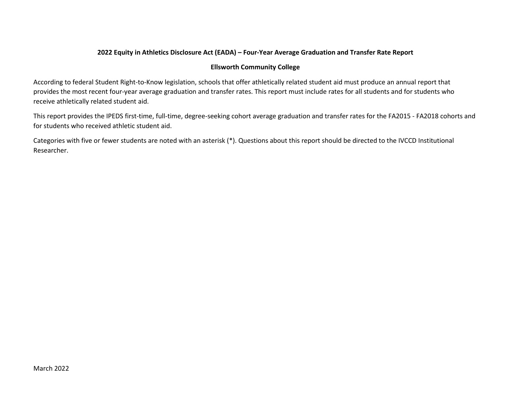## 2022 Equity in Athletics Disclosure Act (EADA) – Four-Year Average Graduation and Transfer Rate Report

#### Ellsworth Community College

According to federal Student Right-to-Know legislation, schools that offer athletically related student aid must produce an annual report that provides the most recent four-year average graduation and transfer rates. This report must include rates for all students and for students who receive athletically related student aid.

This report provides the IPEDS first-time, full-time, degree-seeking cohort average graduation and transfer rates for the FA2015 - FA2018 cohorts and for students who received athletic student aid.

Categories with five or fewer students are noted with an asterisk (\*). Questions about this report should be directed to the IVCCD Institutional Researcher.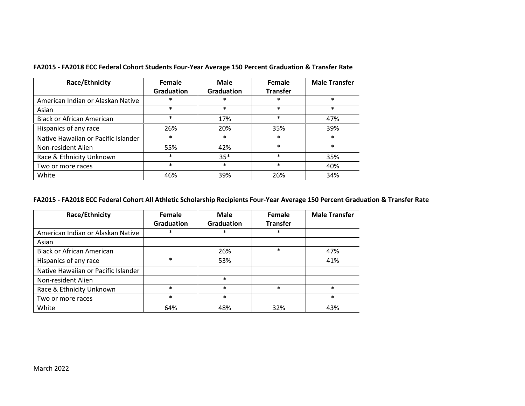| Race/Ethnicity                      | Female<br>Graduation | Male<br><b>Graduation</b> | Female<br><b>Transfer</b> | <b>Male Transfer</b> |  |
|-------------------------------------|----------------------|---------------------------|---------------------------|----------------------|--|
| American Indian or Alaskan Native   | $\ast$               | $\ast$                    | $\ast$                    | $\ast$               |  |
| Asian                               | $\ast$               | $\ast$                    | $\ast$                    | $\ast$               |  |
| <b>Black or African American</b>    | $\ast$               | 17%                       | $\ast$                    | 47%                  |  |
| Hispanics of any race               | 26%                  | 20%                       | 35%                       | 39%                  |  |
| Native Hawaiian or Pacific Islander | $\ast$               | $\ast$                    | $\ast$                    | $\ast$               |  |
| Non-resident Alien                  | 55%                  | 42%                       | $\ast$                    | $\ast$               |  |
| Race & Ethnicity Unknown            | ∗                    | $35*$                     | $\ast$                    | 35%                  |  |
| Two or more races                   | $\ast$               | $\ast$                    | $\ast$                    | 40%                  |  |
| White                               | 46%                  | 39%                       | 26%                       | 34%                  |  |

FA2015 - FA2018 ECC Federal Cohort Students Four-Year Average 150 Percent Graduation & Transfer Rate

# FA2015 - FA2018 ECC Federal Cohort All Athletic Scholarship Recipients Four-Year Average 150 Percent Graduation & Transfer Rate

| Race/Ethnicity                      | Female            | Male       | Female          | <b>Male Transfer</b> |  |
|-------------------------------------|-------------------|------------|-----------------|----------------------|--|
|                                     | <b>Graduation</b> | Graduation | <b>Transfer</b> |                      |  |
| American Indian or Alaskan Native   | *                 | ∗          | $\ast$          |                      |  |
| Asian                               |                   |            |                 |                      |  |
| <b>Black or African American</b>    |                   | 26%        | $\ast$          | 47%                  |  |
| Hispanics of any race               | $\ast$            | 53%        |                 | 41%                  |  |
| Native Hawaiian or Pacific Islander |                   |            |                 |                      |  |
| Non-resident Alien                  |                   | $\ast$     |                 |                      |  |
| Race & Ethnicity Unknown            | $\ast$            | $\ast$     | $\ast$          | $\ast$               |  |
| Two or more races                   | $\ast$            | $\ast$     |                 | $\ast$               |  |
| White                               | 64%               | 48%        | 32%             | 43%                  |  |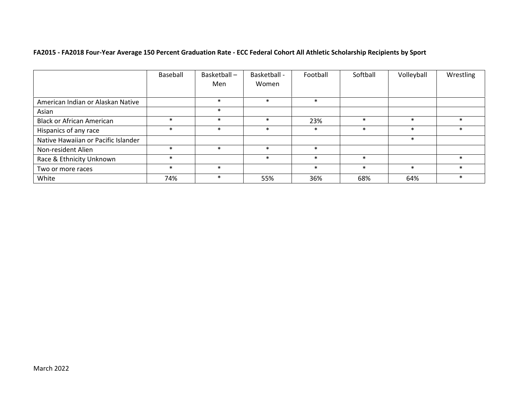# FA2015 - FA2018 Four-Year Average 150 Percent Graduation Rate - ECC Federal Cohort All Athletic Scholarship Recipients by Sport

|                                     | Baseball | Basketball-<br>Men | Basketball -<br>Women | Football | Softball | Volleyball | Wrestling |
|-------------------------------------|----------|--------------------|-----------------------|----------|----------|------------|-----------|
| American Indian or Alaskan Native   |          | $\ast$             | $\ast$                | $\ast$   |          |            |           |
| Asian                               |          | $\ast$             |                       |          |          |            |           |
| <b>Black or African American</b>    | $\ast$   | $\ast$             | $\ast$                | 23%      | $\ast$   | $\ast$     | $\ast$    |
| Hispanics of any race               | $\ast$   | $\ast$             | $\ast$                | $\ast$   | $\ast$   | $\ast$     | $\ast$    |
| Native Hawaiian or Pacific Islander |          |                    |                       |          |          | $\ast$     |           |
| Non-resident Alien                  | $\ast$   | $\ast$             | $\ast$                | $\ast$   |          |            |           |
| Race & Ethnicity Unknown            | $\ast$   |                    | $\ast$                | $\ast$   | $\ast$   |            | $\ast$    |
| Two or more races                   | $\ast$   | $\ast$             |                       | $\ast$   | $\ast$   | $\ast$     | $\ast$    |
| White                               | 74%      | $\ast$             | 55%                   | 36%      | 68%      | 64%        | $\ast$    |